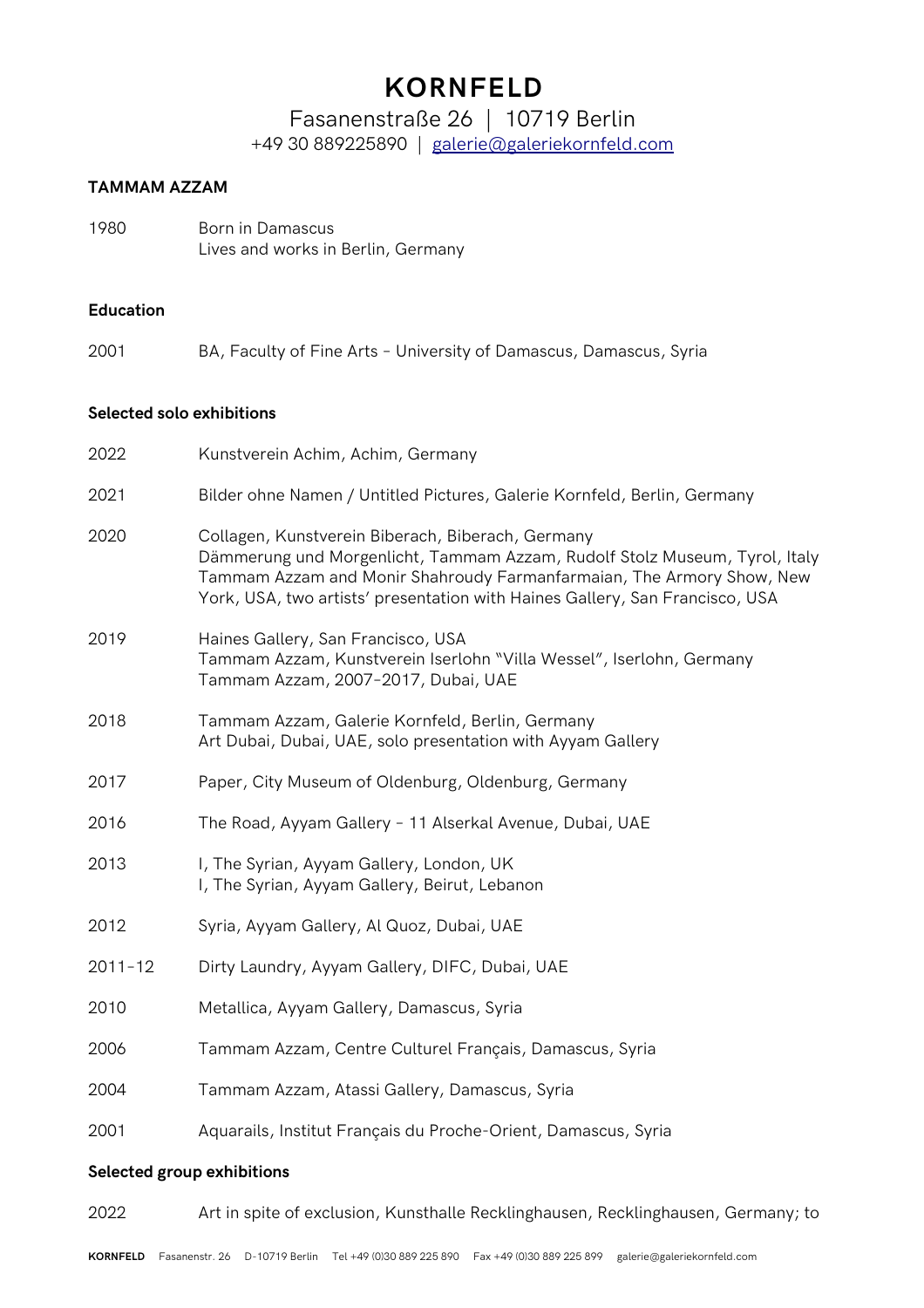Fasanenstraße 26 | 10719 Berlin +49 30 889225890 | [galerie@galeriekornfeld.com](mailto:galerie@galeriekornfeld.com)

#### **TAMMAM AZZAM**

1980 Born in Damascus Lives and works in Berlin, Germany

#### **Education**

2001 BA, Faculty of Fine Arts – University of Damascus, Damascus, Syria

#### **Selected solo exhibitions**

| 2022                       | Kunstverein Achim, Achim, Germany                                                                                                                                                                                                                                                        |  |
|----------------------------|------------------------------------------------------------------------------------------------------------------------------------------------------------------------------------------------------------------------------------------------------------------------------------------|--|
| 2021                       | Bilder ohne Namen / Untitled Pictures, Galerie Kornfeld, Berlin, Germany                                                                                                                                                                                                                 |  |
| 2020                       | Collagen, Kunstverein Biberach, Biberach, Germany<br>Dämmerung und Morgenlicht, Tammam Azzam, Rudolf Stolz Museum, Tyrol, Italy<br>Tammam Azzam and Monir Shahroudy Farmanfarmaian, The Armory Show, New<br>York, USA, two artists' presentation with Haines Gallery, San Francisco, USA |  |
| 2019                       | Haines Gallery, San Francisco, USA<br>Tammam Azzam, Kunstverein Iserlohn "Villa Wessel", Iserlohn, Germany<br>Tammam Azzam, 2007-2017, Dubai, UAE                                                                                                                                        |  |
| 2018                       | Tammam Azzam, Galerie Kornfeld, Berlin, Germany<br>Art Dubai, Dubai, UAE, solo presentation with Ayyam Gallery                                                                                                                                                                           |  |
| 2017                       | Paper, City Museum of Oldenburg, Oldenburg, Germany                                                                                                                                                                                                                                      |  |
| 2016                       | The Road, Ayyam Gallery - 11 Alserkal Avenue, Dubai, UAE                                                                                                                                                                                                                                 |  |
| 2013                       | I, The Syrian, Ayyam Gallery, London, UK<br>I, The Syrian, Ayyam Gallery, Beirut, Lebanon                                                                                                                                                                                                |  |
| 2012                       | Syria, Ayyam Gallery, Al Quoz, Dubai, UAE                                                                                                                                                                                                                                                |  |
| $2011 - 12$                | Dirty Laundry, Ayyam Gallery, DIFC, Dubai, UAE                                                                                                                                                                                                                                           |  |
| 2010                       | Metallica, Ayyam Gallery, Damascus, Syria                                                                                                                                                                                                                                                |  |
| 2006                       | Tammam Azzam, Centre Culturel Français, Damascus, Syria                                                                                                                                                                                                                                  |  |
| 2004                       | Tammam Azzam, Atassi Gallery, Damascus, Syria                                                                                                                                                                                                                                            |  |
| 2001                       | Aquarails, Institut Français du Proche-Orient, Damascus, Syria                                                                                                                                                                                                                           |  |
| Selected group exhibitions |                                                                                                                                                                                                                                                                                          |  |

2022 Art in spite of exclusion, Kunsthalle Recklinghausen, Recklinghausen, Germany; to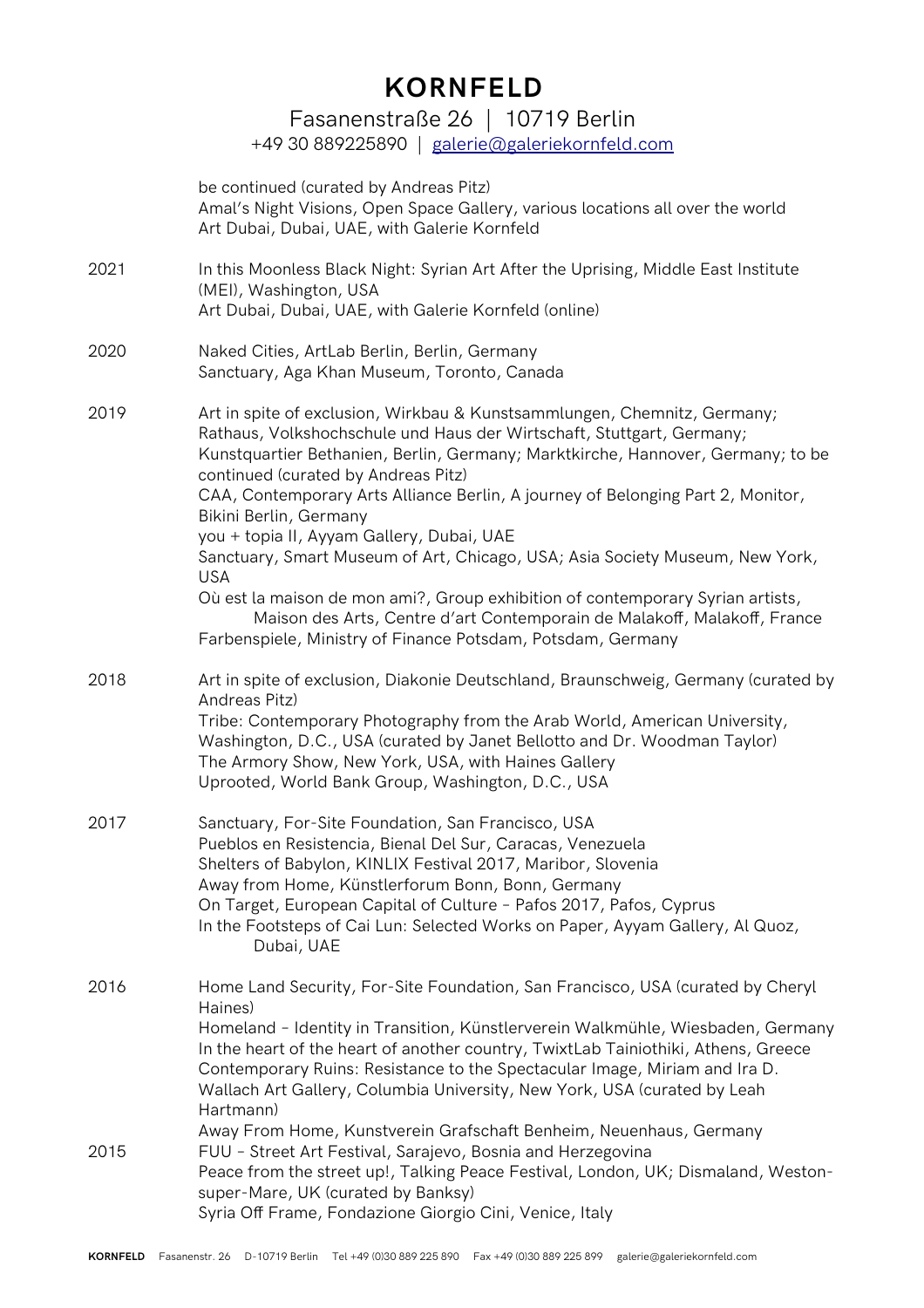Fasanenstraße 26 | 10719 Berlin

+49 30 889225890 | [galerie@galeriekornfeld.com](mailto:galerie@galeriekornfeld.com)

|      | be continued (curated by Andreas Pitz)<br>Amal's Night Visions, Open Space Gallery, various locations all over the world<br>Art Dubai, Dubai, UAE, with Galerie Kornfeld                                                                                                                                                                                                                                                                                                                                                                                                                                                                                                                                                                                         |
|------|------------------------------------------------------------------------------------------------------------------------------------------------------------------------------------------------------------------------------------------------------------------------------------------------------------------------------------------------------------------------------------------------------------------------------------------------------------------------------------------------------------------------------------------------------------------------------------------------------------------------------------------------------------------------------------------------------------------------------------------------------------------|
| 2021 | In this Moonless Black Night: Syrian Art After the Uprising, Middle East Institute<br>(MEI), Washington, USA<br>Art Dubai, Dubai, UAE, with Galerie Kornfeld (online)                                                                                                                                                                                                                                                                                                                                                                                                                                                                                                                                                                                            |
| 2020 | Naked Cities, ArtLab Berlin, Berlin, Germany<br>Sanctuary, Aga Khan Museum, Toronto, Canada                                                                                                                                                                                                                                                                                                                                                                                                                                                                                                                                                                                                                                                                      |
| 2019 | Art in spite of exclusion, Wirkbau & Kunstsammlungen, Chemnitz, Germany;<br>Rathaus, Volkshochschule und Haus der Wirtschaft, Stuttgart, Germany;<br>Kunstquartier Bethanien, Berlin, Germany; Marktkirche, Hannover, Germany; to be<br>continued (curated by Andreas Pitz)<br>CAA, Contemporary Arts Alliance Berlin, A journey of Belonging Part 2, Monitor,<br>Bikini Berlin, Germany<br>you + topia II, Ayyam Gallery, Dubai, UAE<br>Sanctuary, Smart Museum of Art, Chicago, USA; Asia Society Museum, New York,<br><b>USA</b><br>Où est la maison de mon ami?, Group exhibition of contemporary Syrian artists,<br>Maison des Arts, Centre d'art Contemporain de Malakoff, Malakoff, France<br>Farbenspiele, Ministry of Finance Potsdam, Potsdam, Germany |
| 2018 | Art in spite of exclusion, Diakonie Deutschland, Braunschweig, Germany (curated by<br>Andreas Pitz)<br>Tribe: Contemporary Photography from the Arab World, American University,<br>Washington, D.C., USA (curated by Janet Bellotto and Dr. Woodman Taylor)<br>The Armory Show, New York, USA, with Haines Gallery<br>Uprooted, World Bank Group, Washington, D.C., USA                                                                                                                                                                                                                                                                                                                                                                                         |
| 2017 | Sanctuary, For-Site Foundation, San Francisco, USA<br>Pueblos en Resistencia, Bienal Del Sur, Caracas, Venezuela<br>Shelters of Babylon, KINLIX Festival 2017, Maribor, Slovenia<br>Away from Home, Künstlerforum Bonn, Bonn, Germany<br>On Target, European Capital of Culture - Pafos 2017, Pafos, Cyprus<br>In the Footsteps of Cai Lun: Selected Works on Paper, Ayyam Gallery, Al Quoz,<br>Dubai, UAE                                                                                                                                                                                                                                                                                                                                                       |
| 2016 | Home Land Security, For-Site Foundation, San Francisco, USA (curated by Cheryl<br>Haines)<br>Homeland - Identity in Transition, Künstlerverein Walkmühle, Wiesbaden, Germany<br>In the heart of the heart of another country, TwixtLab Tainiothiki, Athens, Greece<br>Contemporary Ruins: Resistance to the Spectacular Image, Miriam and Ira D.<br>Wallach Art Gallery, Columbia University, New York, USA (curated by Leah<br>Hartmann)<br>Away From Home, Kunstverein Grafschaft Benheim, Neuenhaus, Germany                                                                                                                                                                                                                                                  |
| 2015 | FUU - Street Art Festival, Sarajevo, Bosnia and Herzegovina<br>Peace from the street up!, Talking Peace Festival, London, UK; Dismaland, Weston-<br>super-Mare, UK (curated by Banksy)<br>Syria Off Frame, Fondazione Giorgio Cini, Venice, Italy                                                                                                                                                                                                                                                                                                                                                                                                                                                                                                                |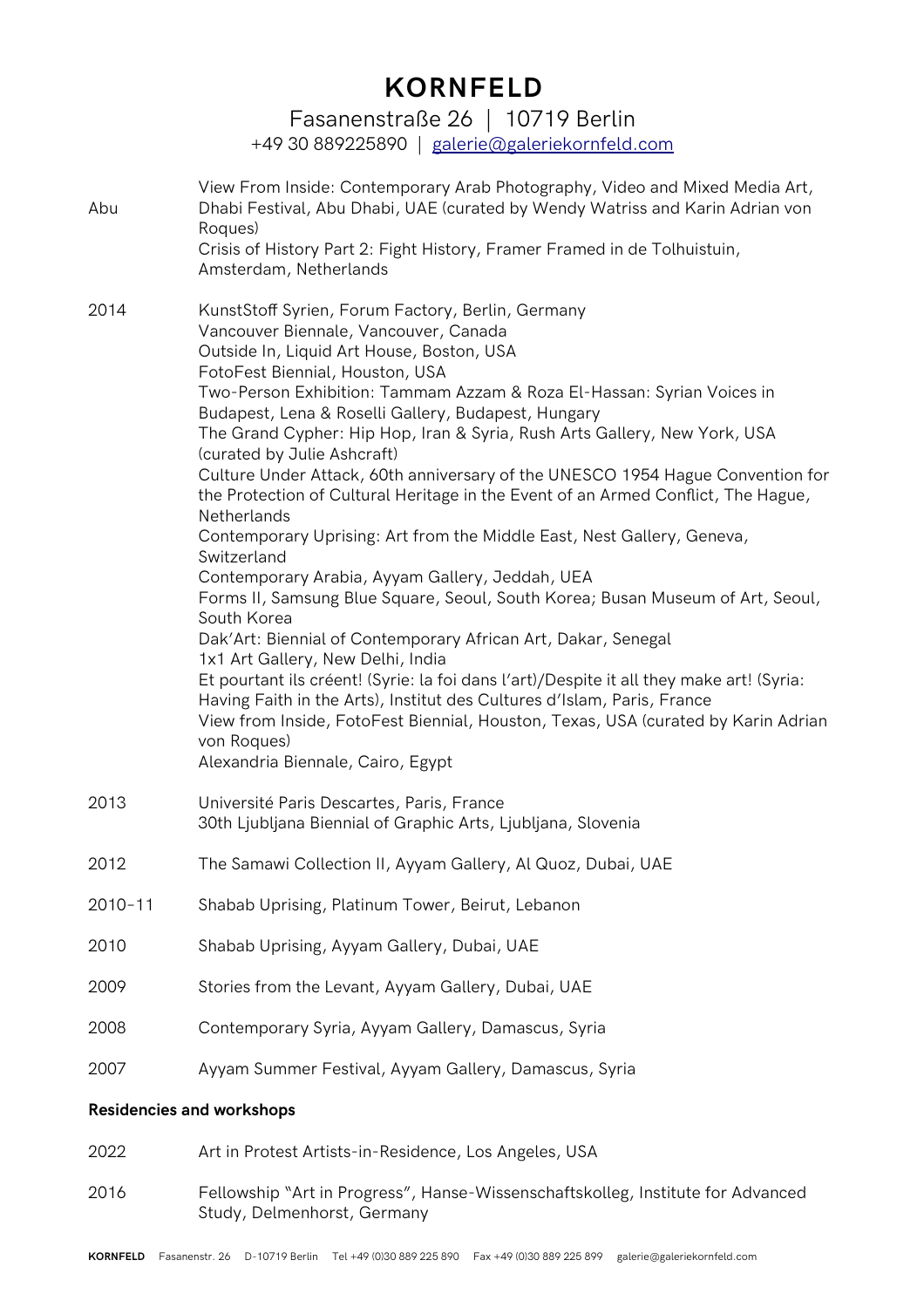Fasanenstraße 26 | 10719 Berlin

+49 30 889225890 | [galerie@galeriekornfeld.com](mailto:galerie@galeriekornfeld.com)

| Abu                              | View From Inside: Contemporary Arab Photography, Video and Mixed Media Art,<br>Dhabi Festival, Abu Dhabi, UAE (curated by Wendy Watriss and Karin Adrian von<br>Roques)<br>Crisis of History Part 2: Fight History, Framer Framed in de Tolhuistuin,<br>Amsterdam, Netherlands                                                                                                                                                                                                                                                                                                                                                                                                                                                                                                                                                                                                                                                                                                                                                                                                                                                                                                                                                                                                   |  |  |
|----------------------------------|----------------------------------------------------------------------------------------------------------------------------------------------------------------------------------------------------------------------------------------------------------------------------------------------------------------------------------------------------------------------------------------------------------------------------------------------------------------------------------------------------------------------------------------------------------------------------------------------------------------------------------------------------------------------------------------------------------------------------------------------------------------------------------------------------------------------------------------------------------------------------------------------------------------------------------------------------------------------------------------------------------------------------------------------------------------------------------------------------------------------------------------------------------------------------------------------------------------------------------------------------------------------------------|--|--|
| 2014                             | KunstStoff Syrien, Forum Factory, Berlin, Germany<br>Vancouver Biennale, Vancouver, Canada<br>Outside In, Liquid Art House, Boston, USA<br>FotoFest Biennial, Houston, USA<br>Two-Person Exhibition: Tammam Azzam & Roza El-Hassan: Syrian Voices in<br>Budapest, Lena & Roselli Gallery, Budapest, Hungary<br>The Grand Cypher: Hip Hop, Iran & Syria, Rush Arts Gallery, New York, USA<br>(curated by Julie Ashcraft)<br>Culture Under Attack, 60th anniversary of the UNESCO 1954 Hague Convention for<br>the Protection of Cultural Heritage in the Event of an Armed Conflict, The Hague,<br>Netherlands<br>Contemporary Uprising: Art from the Middle East, Nest Gallery, Geneva,<br>Switzerland<br>Contemporary Arabia, Ayyam Gallery, Jeddah, UEA<br>Forms II, Samsung Blue Square, Seoul, South Korea; Busan Museum of Art, Seoul,<br>South Korea<br>Dak'Art: Biennial of Contemporary African Art, Dakar, Senegal<br>1x1 Art Gallery, New Delhi, India<br>Et pourtant ils créent! (Syrie: la foi dans l'art)/Despite it all they make art! (Syria:<br>Having Faith in the Arts), Institut des Cultures d'Islam, Paris, France<br>View from Inside, FotoFest Biennial, Houston, Texas, USA (curated by Karin Adrian<br>von Roques)<br>Alexandria Biennale, Cairo, Egypt |  |  |
| 2013                             | Université Paris Descartes, Paris, France<br>30th Ljubljana Biennial of Graphic Arts, Ljubljana, Slovenia                                                                                                                                                                                                                                                                                                                                                                                                                                                                                                                                                                                                                                                                                                                                                                                                                                                                                                                                                                                                                                                                                                                                                                        |  |  |
| 2012                             | The Samawi Collection II, Ayyam Gallery, Al Quoz, Dubai, UAE                                                                                                                                                                                                                                                                                                                                                                                                                                                                                                                                                                                                                                                                                                                                                                                                                                                                                                                                                                                                                                                                                                                                                                                                                     |  |  |
| 2010-11                          | Shabab Uprising, Platinum Tower, Beirut, Lebanon                                                                                                                                                                                                                                                                                                                                                                                                                                                                                                                                                                                                                                                                                                                                                                                                                                                                                                                                                                                                                                                                                                                                                                                                                                 |  |  |
| 2010                             | Shabab Uprising, Ayyam Gallery, Dubai, UAE                                                                                                                                                                                                                                                                                                                                                                                                                                                                                                                                                                                                                                                                                                                                                                                                                                                                                                                                                                                                                                                                                                                                                                                                                                       |  |  |
| 2009                             | Stories from the Levant, Ayyam Gallery, Dubai, UAE                                                                                                                                                                                                                                                                                                                                                                                                                                                                                                                                                                                                                                                                                                                                                                                                                                                                                                                                                                                                                                                                                                                                                                                                                               |  |  |
| 2008                             | Contemporary Syria, Ayyam Gallery, Damascus, Syria                                                                                                                                                                                                                                                                                                                                                                                                                                                                                                                                                                                                                                                                                                                                                                                                                                                                                                                                                                                                                                                                                                                                                                                                                               |  |  |
| 2007                             | Ayyam Summer Festival, Ayyam Gallery, Damascus, Syria                                                                                                                                                                                                                                                                                                                                                                                                                                                                                                                                                                                                                                                                                                                                                                                                                                                                                                                                                                                                                                                                                                                                                                                                                            |  |  |
| <b>Residencies and workshops</b> |                                                                                                                                                                                                                                                                                                                                                                                                                                                                                                                                                                                                                                                                                                                                                                                                                                                                                                                                                                                                                                                                                                                                                                                                                                                                                  |  |  |

- 2022 Art in Protest Artists-in-Residence, Los Angeles, USA
- 2016 Fellowship "Art in Progress", Hanse-Wissenschaftskolleg, Institute for Advanced Study, Delmenhorst, Germany